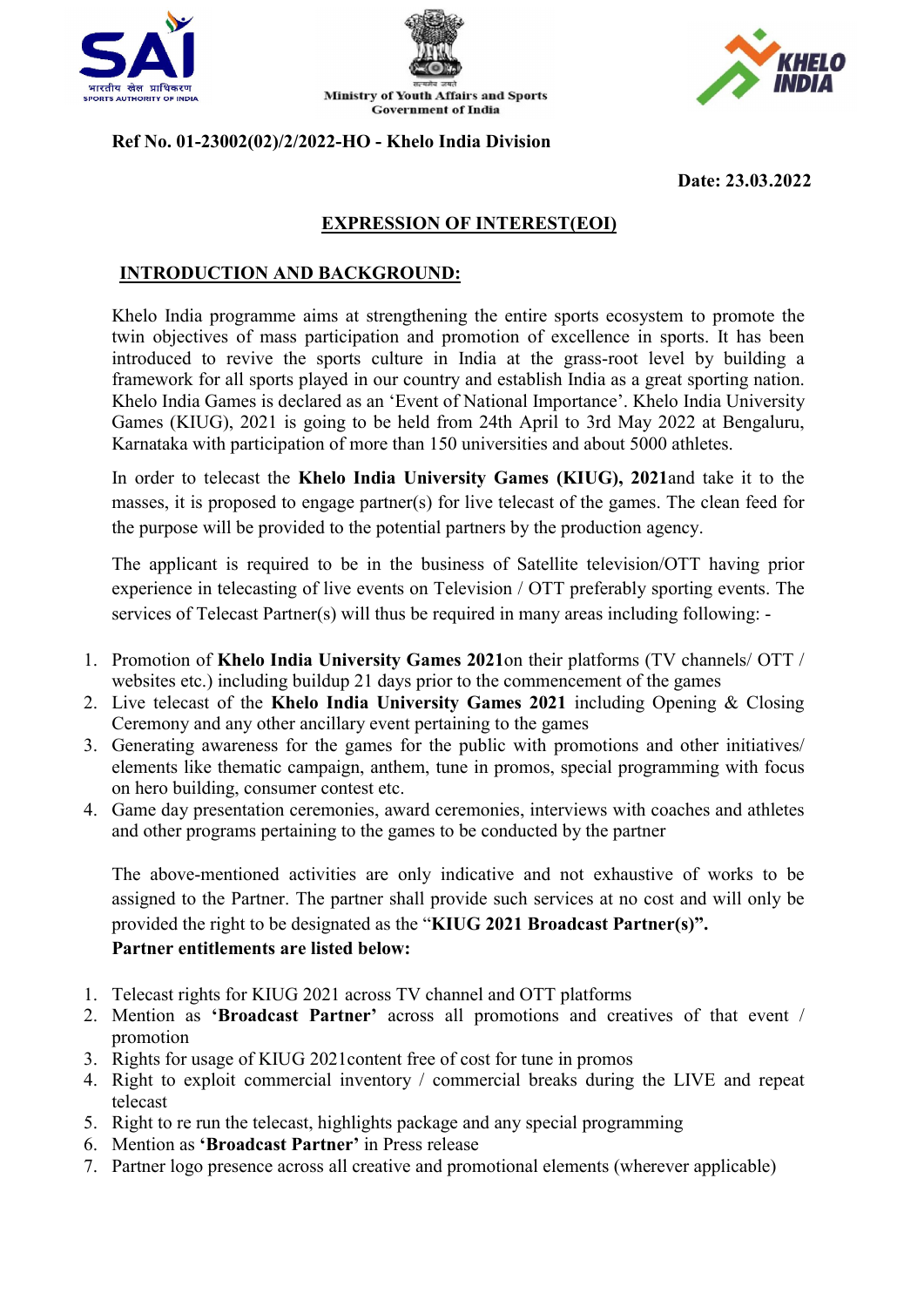





#### Ref No. 01-23002(02)/2/2022-HO - Khelo India Division

Date: 23.03.2022

## EXPRESSION OF INTEREST(EOI)

#### INTRODUCTION AND BACKGROUND:

Khelo India programme aims at strengthening the entire sports ecosystem to promote the twin objectives of mass participation and promotion of excellence in sports. It has been introduced to revive the sports culture in India at the grass-root level by building a framework for all sports played in our country and establish India as a great sporting nation. Khelo India Games is declared as an 'Event of National Importance'. Khelo India University Games (KIUG), 2021 is going to be held from 24th April to 3rd May 2022 at Bengaluru, Karnataka with participation of more than 150 universities and about 5000 athletes.

In order to telecast the Khelo India University Games (KIUG), 2021and take it to the masses, it is proposed to engage partner(s) for live telecast of the games. The clean feed for the purpose will be provided to the potential partners by the production agency.

The applicant is required to be in the business of Satellite television/OTT having prior experience in telecasting of live events on Television / OTT preferably sporting events. The services of Telecast Partner(s) will thus be required in many areas including following: -

- 1. Promotion of Khelo India University Games 2021on their platforms (TV channels/ OTT / websites etc.) including buildup 21 days prior to the commencement of the games
- 2. Live telecast of the Khelo India University Games 2021 including Opening & Closing Ceremony and any other ancillary event pertaining to the games
- 3. Generating awareness for the games for the public with promotions and other initiatives/ elements like thematic campaign, anthem, tune in promos, special programming with focus on hero building, consumer contest etc.
- 4. Game day presentation ceremonies, award ceremonies, interviews with coaches and athletes and other programs pertaining to the games to be conducted by the partner

The above-mentioned activities are only indicative and not exhaustive of works to be assigned to the Partner. The partner shall provide such services at no cost and will only be provided the right to be designated as the "KIUG 2021 Broadcast Partner(s)".

#### Partner entitlements are listed below:

- 1. Telecast rights for KIUG 2021 across TV channel and OTT platforms
- 2. Mention as 'Broadcast Partner' across all promotions and creatives of that event / promotion
- 3. Rights for usage of KIUG 2021content free of cost for tune in promos
- 4. Right to exploit commercial inventory / commercial breaks during the LIVE and repeat telecast
- 5. Right to re run the telecast, highlights package and any special programming
- 6. Mention as 'Broadcast Partner' in Press release
- 7. Partner logo presence across all creative and promotional elements (wherever applicable)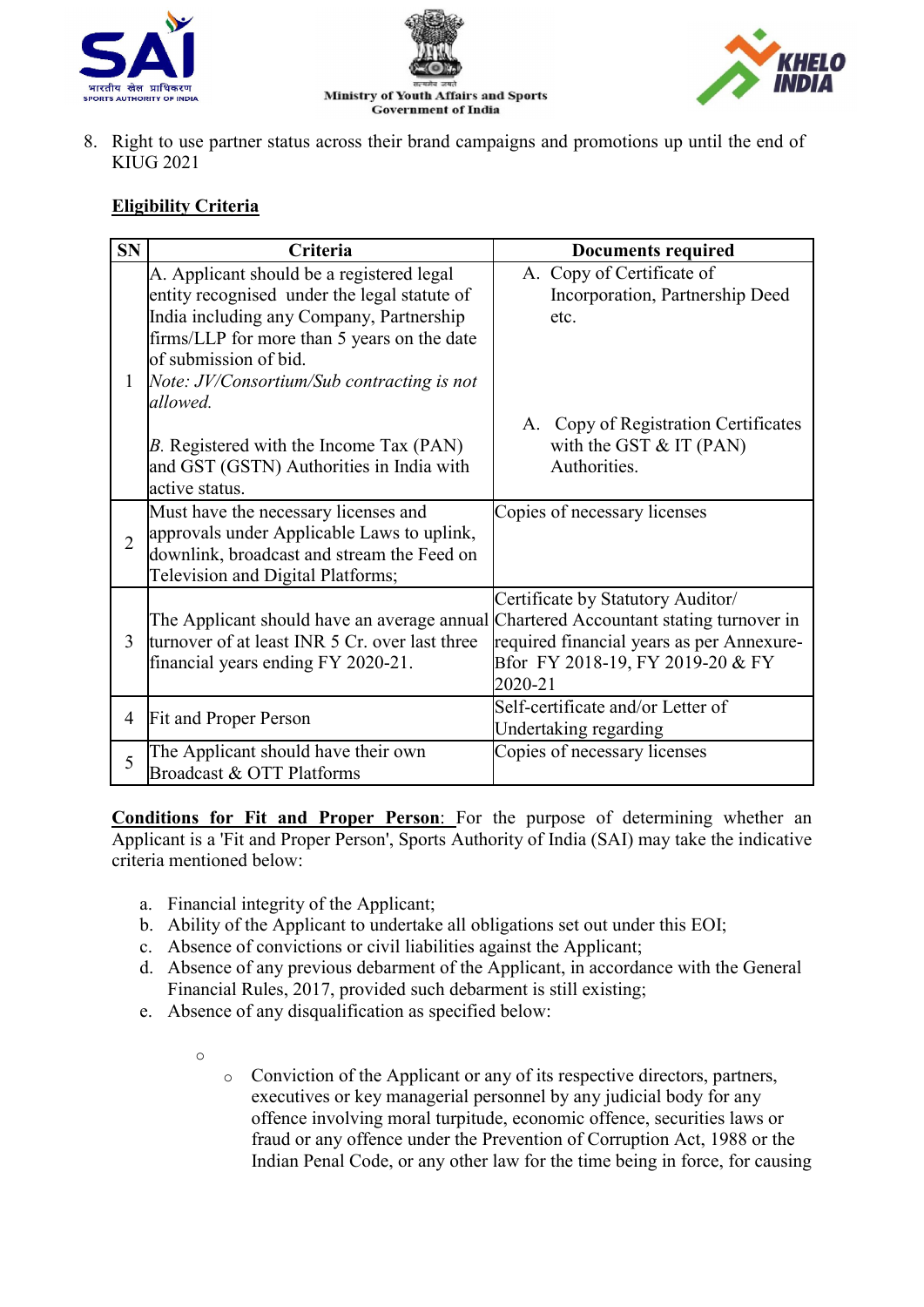





8. Right to use partner status across their brand campaigns and promotions up until the end of KIUG 2021

## Eligibility Criteria

| <b>SN</b>      | Criteria                                                                                                                                                                                                                                                    | <b>Documents required</b>                                                                                                                                                 |
|----------------|-------------------------------------------------------------------------------------------------------------------------------------------------------------------------------------------------------------------------------------------------------------|---------------------------------------------------------------------------------------------------------------------------------------------------------------------------|
| 1              | A. Applicant should be a registered legal<br>entity recognised under the legal statute of<br>India including any Company, Partnership<br>firms/LLP for more than 5 years on the date<br>of submission of bid.<br>Note: JV/Consortium/Sub contracting is not | A. Copy of Certificate of<br>Incorporation, Partnership Deed<br>etc.                                                                                                      |
|                | allowed.<br>B. Registered with the Income Tax (PAN)<br>and GST (GSTN) Authorities in India with<br>active status.                                                                                                                                           | Copy of Registration Certificates<br>A.<br>with the GST $& IT (PAN)$<br>Authorities.                                                                                      |
| $\overline{2}$ | Must have the necessary licenses and<br>approvals under Applicable Laws to uplink,<br>downlink, broadcast and stream the Feed on<br>Television and Digital Platforms;                                                                                       | Copies of necessary licenses                                                                                                                                              |
| 3              | The Applicant should have an average annual<br>turnover of at least INR 5 Cr. over last three<br>financial years ending FY 2020-21.                                                                                                                         | Certificate by Statutory Auditor/<br>Chartered Accountant stating turnover in<br>required financial years as per Annexure-<br>Bfor FY 2018-19, FY 2019-20 & FY<br>2020-21 |
| 4              | Fit and Proper Person                                                                                                                                                                                                                                       | Self-certificate and/or Letter of<br>Undertaking regarding                                                                                                                |
| 5              | The Applicant should have their own<br>Broadcast & OTT Platforms                                                                                                                                                                                            | Copies of necessary licenses                                                                                                                                              |

Conditions for Fit and Proper Person: For the purpose of determining whether an Applicant is a 'Fit and Proper Person', Sports Authority of India (SAI) may take the indicative criteria mentioned below:

a. Financial integrity of the Applicant;

o

- b. Ability of the Applicant to undertake all obligations set out under this EOI;
- c. Absence of convictions or civil liabilities against the Applicant;
- d. Absence of any previous debarment of the Applicant, in accordance with the General Financial Rules, 2017, provided such debarment is still existing;
- e. Absence of any disqualification as specified below:
	- o Conviction of the Applicant or any of its respective directors, partners, executives or key managerial personnel by any judicial body for any offence involving moral turpitude, economic offence, securities laws or fraud or any offence under the Prevention of Corruption Act, 1988 or the Indian Penal Code, or any other law for the time being in force, for causing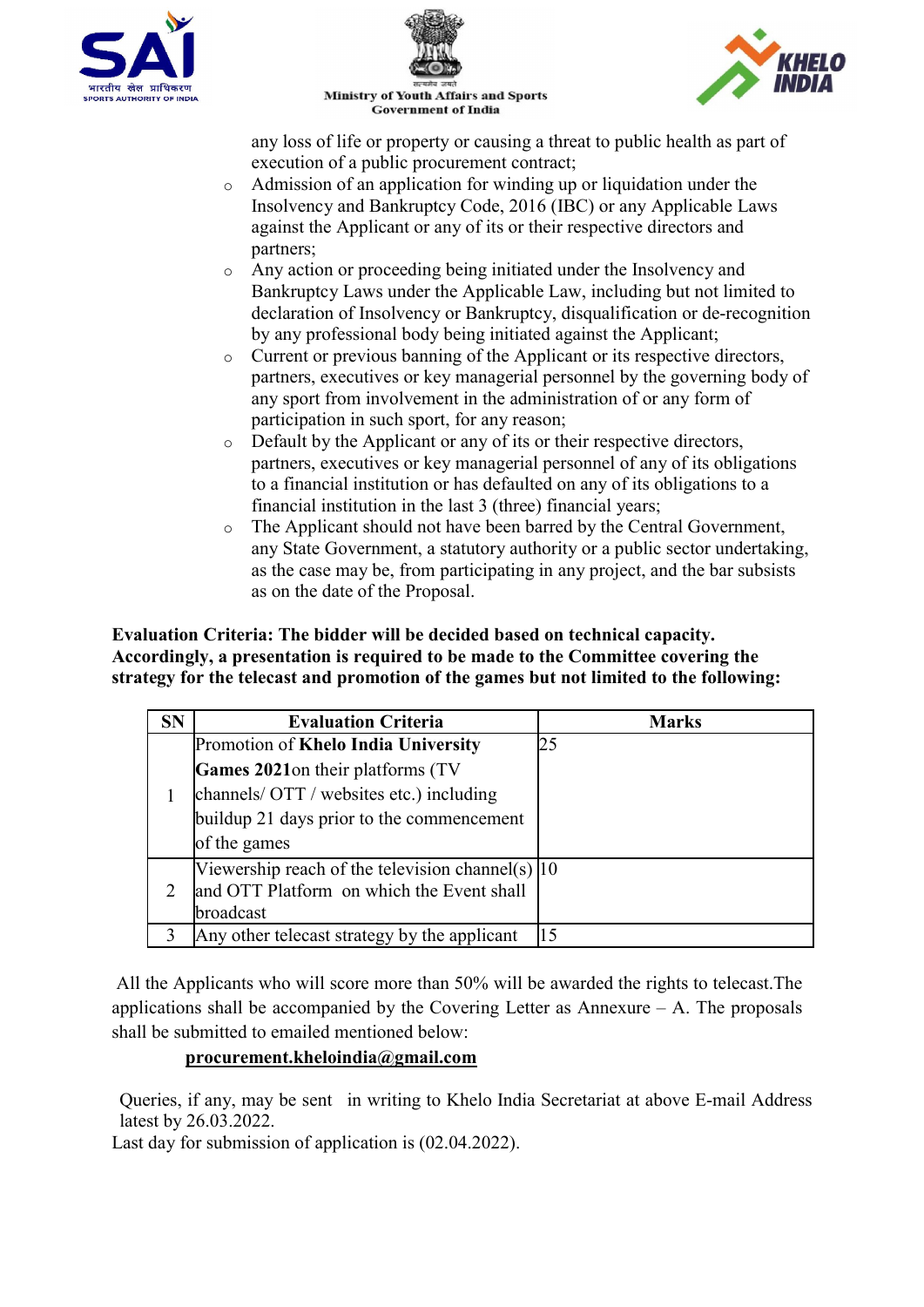





**Ministry of Youth Affairs and Sports Government of India** 

any loss of life or property or causing a threat to public health as part of execution of a public procurement contract;

- o Admission of an application for winding up or liquidation under the Insolvency and Bankruptcy Code, 2016 (IBC) or any Applicable Laws against the Applicant or any of its or their respective directors and partners;
- o Any action or proceeding being initiated under the Insolvency and Bankruptcy Laws under the Applicable Law, including but not limited to declaration of Insolvency or Bankruptcy, disqualification or de-recognition by any professional body being initiated against the Applicant;
- o Current or previous banning of the Applicant or its respective directors, partners, executives or key managerial personnel by the governing body of any sport from involvement in the administration of or any form of participation in such sport, for any reason;
- o Default by the Applicant or any of its or their respective directors, partners, executives or key managerial personnel of any of its obligations to a financial institution or has defaulted on any of its obligations to a financial institution in the last 3 (three) financial years;
- o The Applicant should not have been barred by the Central Government, any State Government, a statutory authority or a public sector undertaking, as the case may be, from participating in any project, and the bar subsists as on the date of the Proposal.

#### Evaluation Criteria: The bidder will be decided based on technical capacity. Accordingly, a presentation is required to be made to the Committee covering the strategy for the telecast and promotion of the games but not limited to the following:

| <b>SN</b> | <b>Evaluation Criteria</b>                                 | <b>Marks</b> |
|-----------|------------------------------------------------------------|--------------|
|           | Promotion of Khelo India University                        | 25           |
|           | Games 2021 on their platforms (TV                          |              |
|           | channels/ OTT / websites etc.) including                   |              |
|           | buildup 21 days prior to the commencement                  |              |
|           | of the games                                               |              |
|           | Viewership reach of the television channel(s) $ 10\rangle$ |              |
|           | and OTT Platform on which the Event shall                  |              |
|           | broadcast                                                  |              |
|           | Any other telecast strategy by the applicant               |              |

All the Applicants who will score more than 50% will be awarded the rights to telecast.The applications shall be accompanied by the Covering Letter as Annexure  $- A$ . The proposals shall be submitted to emailed mentioned below:

# procurement.kheloindia@gmail.com

Queries, if any, may be sent in writing to Khelo India Secretariat at above E-mail Address latest by 26.03.2022.

Last day for submission of application is (02.04.2022).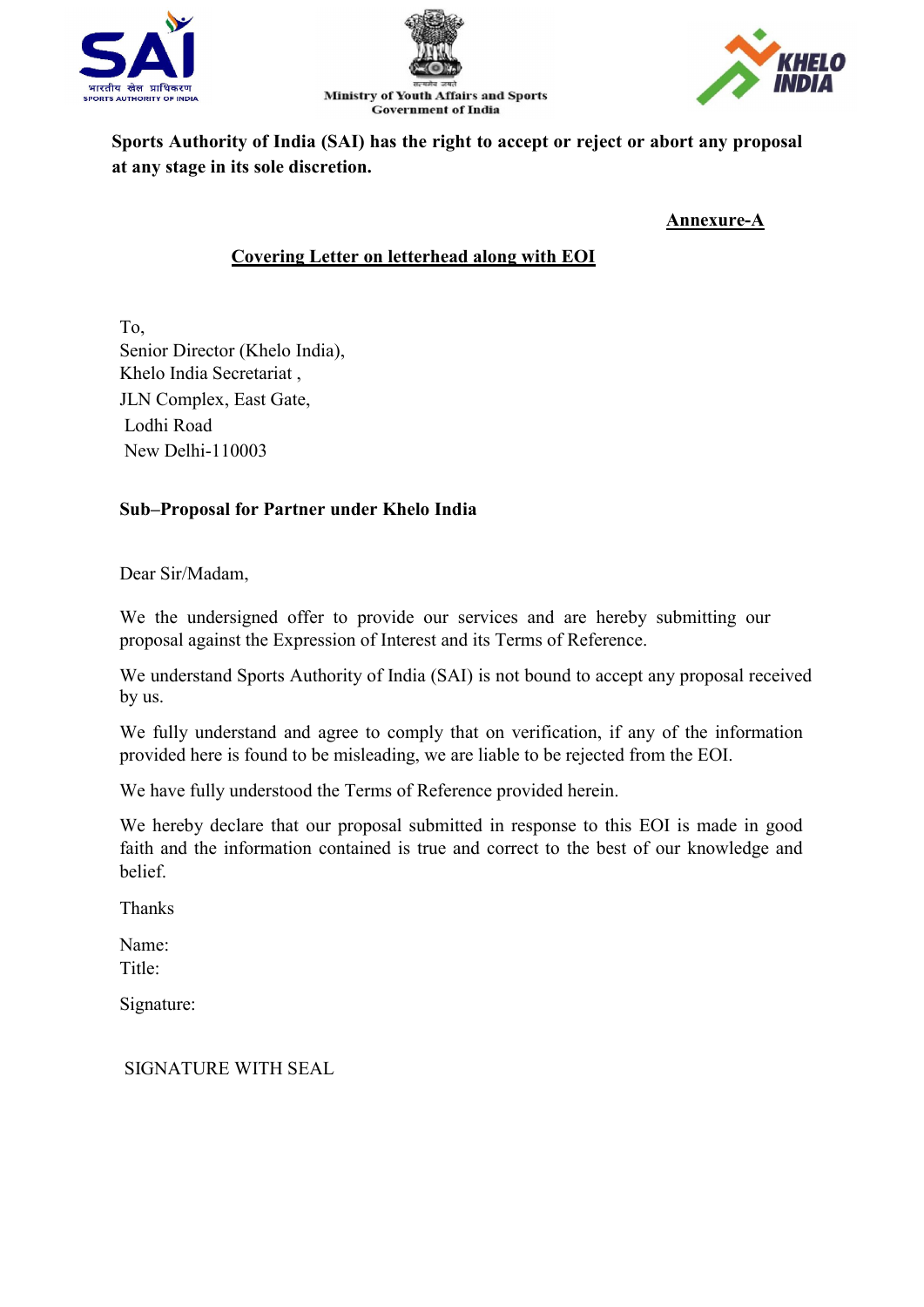





Sports Authority of India (SAI) has the right to accept or reject or abort any proposal at any stage in its sole discretion.

Annexure-A

# Covering Letter on letterhead along with EOI

To, Senior Director (Khelo India), Khelo India Secretariat , JLN Complex, East Gate, Lodhi Road New Delhi-110003

# Sub–Proposal for Partner under Khelo India

Dear Sir/Madam,

We the undersigned offer to provide our services and are hereby submitting our proposal against the Expression of Interest and its Terms of Reference.

We understand Sports Authority of India (SAI) is not bound to accept any proposal received by us.

We fully understand and agree to comply that on verification, if any of the information provided here is found to be misleading, we are liable to be rejected from the EOI.

We have fully understood the Terms of Reference provided herein.

We hereby declare that our proposal submitted in response to this EOI is made in good faith and the information contained is true and correct to the best of our knowledge and belief.

Thanks

Name: Title:

Signature:

SIGNATURE WITH SEAL